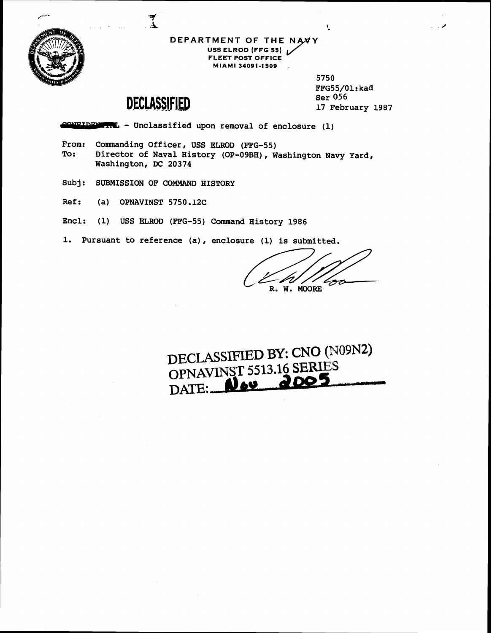

**DEPARTMENT OF THE USS ELROD (FFG 55) FLEET POST OFFICE MIAMI 34091-1509** ,

> 5750 FFG55/01:kad **Ser 056 17 February 1987**

 $\mathcal{L}$ 

## DECLASSIFIED

- **Unclassified upon removal of enclosure (1)** 

- **From: Commanding Officer, USS ELROD (ETG-55) To: Director of Naval History (OP-09BH), Washington Navy Yard, Washington, DC 20374**
- **Subj: SUBMISSION OF COMMAND HISTORY**
- **Ref** : **(a) OPNAVINST 5750.12C**
- **Encl: (1) USS ELROD (FFG-55) Command History 1986**
- **1. Pursuant to reference (a), enclosure (1) is submitted.**

History 1986<br>
ure (1) is submitted.<br>
(<br>
R. W. MOORE **R. W. MOORE** 

DECLASSIFIED BY: CNO (N09N2)<br>OPNAVINST 5513.16 SERIES<br>DATE: **New 2005**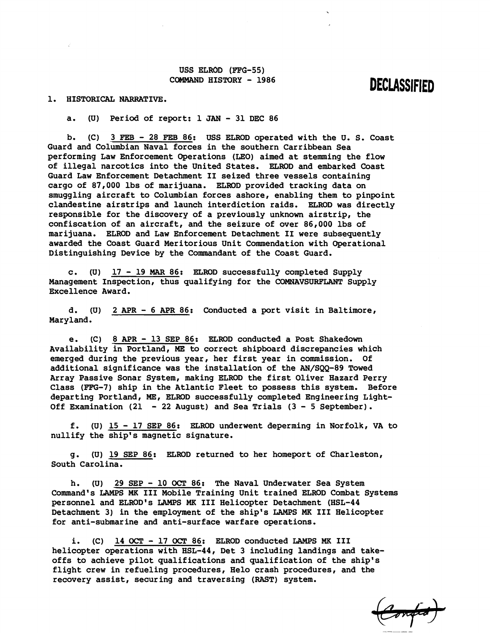**USS ELROD (FFG-55) COMMAND HISTORY** - **<sup>1986</sup>**

## **DECLASSIFIED**

**1. HISTORICAL NARRATIVE.** 

**a. (U) Period of report: 1 JAN** - **31 DEC 86** 

**b. (C) 3 FEB** - **28 FEB 86: USS ELROD operated with the 'U. S. Coast Guard and Colurnbian Naval forces in the southern Carribbean Sea performing Law Enforcement Operations (LEO) aimed at stemming the flow of illegal narcotics into the United States. ELROD and embarked Coast Guard Law Enforcement Detachment I1 seized three vessels containing cargo of 87,000 lbs of marijuana. ELRDD provided tracking data on smuggling aircraft to Columbian forces ashore, enabling them to pinpoint clandestine airstrips and launch interdiction raids. ELROD was directly responsible for the discovery of a previously unknown airstrip, the confiscation of an aircraft, and the seizure of over 86,000 lbs of marijuana. ELROD and Law Enforcement Detachment I1 were subsequently awarded the Coast Guard Meritorious Unit Commendation with Operational Distinguishing Device by the Commandant of the Coast Guard.** 

**c. (U) 17** - **19 MAR 86: ELROD successfully completed Supply Management Inspection, thus qualifying for the COMNAVSURFLANT Supply Excellence Award.** 

**d. (U) 2 APR** - **6 APR 86: Conducted a port visit in Baltimore, Maryland.** 

**e. (C) 8 APR** - **13 SEP 86: ELROD conducted a Post Shakedown Availability in Portland, ME to correct shipboard discrepancies which emerged during the previous year, her first year in commission. Of additional significance was the installation of the AN/SQQ-89 Towed Array Passive Sonar System, making ELROD the first Oliver Hazard Perry Class (F'FG-7) ship in the Atlantic Fleet to possess this system. Before departing Portland, ME, ELROD successfully completed Engineering Light-Off Examination (21** - **22 August) and Sea Trials (3** - **5 September).** 

**f. (U) 15** - **17 SEP 86: ELROD underwent deperming in Norfolk, VA to nullify the ship's magnetic signature.** 

**g. (U) 19 SEP 86: ELROD returned to her homeport of Charleston, South Carolina.** 

**h. (U) 29 SEP** - **<sup>10</sup>**OCT **86: The Naval Underwater Sea System Command's LAMPS MK I11 Mobile Training Unit trained ELROD Combat Systems personnel and ELROD'S LAMPS MK 111 Helicopter Detachment (HSL-44 Detachment 3) in the employment of the ship's LAMPS MK I11 Helicopter for anti-submarine and anti-surface warfare operations.** 

**i. (C) 14 OCT** - **17 OCT 86: ELROD conducted LAMPS MK 111 helicopter operations with HSL-44, Det 3 including landings and takeoffs to achieve pilot qualifications and qualification of the ship's flight crew in refueling procedures, Helo crash procedures, and the recovery assist, securing and traversing (RAST) system.** 

Confid)